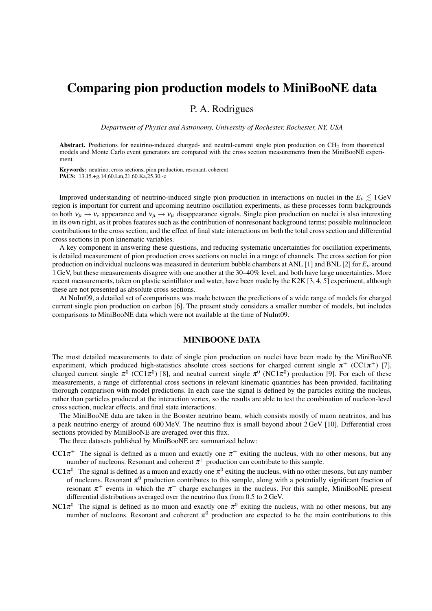# Comparing pion production models to MiniBooNE data

# P. A. Rodrigues

*Department of Physics and Astronomy, University of Rochester, Rochester, NY, USA*

Abstract. Predictions for neutrino-induced charged- and neutral-current single pion production on CH<sub>2</sub> from theoretical models and Monte Carlo event generators are compared with the cross section measurements from the MiniBooNE experiment.

Keywords: neutrino, cross sections, pion production, resonant, coherent PACS: 13.15.+g,14.60.Lm,21.60.Ka,25.30.-c

Improved understanding of neutrino-induced single pion production in interactions on nuclei in the  $E_v \lesssim 1$  GeV region is important for current and upcoming neutrino oscillation experiments, as these processes form backgrounds to both  $v_\mu \to v_e$  appearance and  $v_\mu \to v_\mu$  disappearance signals. Single pion production on nuclei is also interesting in its own right, as it probes features such as the contribution of nonresonant background terms; possible multinucleon contributions to the cross section; and the effect of final state interactions on both the total cross section and differential cross sections in pion kinematic variables.

A key component in answering these questions, and reducing systematic uncertainties for oscillation experiments, is detailed measurement of pion production cross sections on nuclei in a range of channels. The cross section for pion production on individual nucleons was measured in deuterium bubble chambers at ANL [1] and BNL [2] for *E*<sup>ν</sup> around 1 GeV, but these measurements disagree with one another at the 30–40% level, and both have large uncertainties. More recent measurements, taken on plastic scintillator and water, have been made by the K2K [3, 4, 5] experiment, although these are not presented as absolute cross sections.

At NuInt09, a detailed set of comparisons was made between the predictions of a wide range of models for charged current single pion production on carbon [6]. The present study considers a smaller number of models, but includes comparisons to MiniBooNE data which were not available at the time of NuInt09.

## MINIBOONE DATA

The most detailed measurements to date of single pion production on nuclei have been made by the MiniBooNE experiment, which produced high-statistics absolute cross sections for charged current single  $\pi^+$  (CC1 $\pi^+$ ) [7], charged current single  $\pi^0$  (CC1 $\pi^0$ ) [8], and neutral current single  $\pi^0$  (NC1 $\pi^0$ ) production [9]. For each of these measurements, a range of differential cross sections in relevant kinematic quantities has been provided, facilitating thorough comparison with model predictions. In each case the signal is defined by the particles exiting the nucleus, rather than particles produced at the interaction vertex, so the results are able to test the combination of nucleon-level cross section, nuclear effects, and final state interactions.

The MiniBooNE data are taken in the Booster neutrino beam, which consists mostly of muon neutrinos, and has a peak neutrino energy of around 600 MeV. The neutrino flux is small beyond about 2 GeV [10]. Differential cross sections provided by MiniBooNE are averaged over this flux.

The three datasets published by MiniBooNE are summarized below:

CC1 $\pi^+$  The signal is defined as a muon and exactly one  $\pi^+$  exiting the nucleus, with no other mesons, but any number of nucleons. Resonant and coherent  $\pi^+$  production can contribute to this sample.

- CC1 $\pi^0$  The signal is defined as a muon and exactly one  $\pi^0$  exiting the nucleus, with no other mesons, but any number of nucleons. Resonant  $\pi^0$  production contributes to this sample, along with a potentially significant fraction of resonant  $\pi^+$  events in which the  $\pi^+$  charge exchanges in the nucleus. For this sample, MiniBooNE present differential distributions averaged over the neutrino flux from 0.5 to 2 GeV.
- NC1 $\pi^0$  The signal is defined as no muon and exactly one  $\pi^0$  exiting the nucleus, with no other mesons, but any number of nucleons. Resonant and coherent  $\pi^0$  production are expected to be the main contributions to this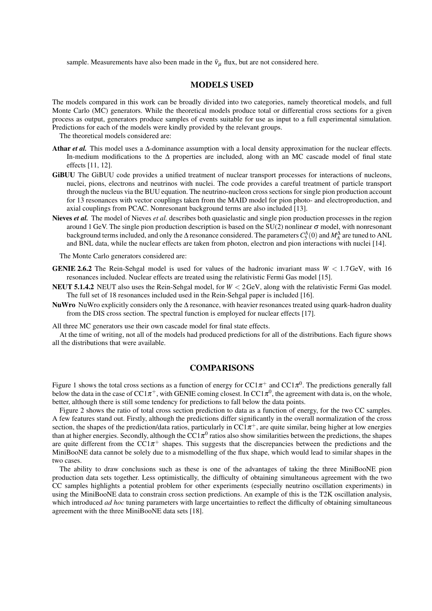sample. Measurements have also been made in the  $\bar{v}_{\mu}$  flux, but are not considered here.

#### MODELS USED

The models compared in this work can be broadly divided into two categories, namely theoretical models, and full Monte Carlo (MC) generators. While the theoretical models produce total or differential cross sections for a given process as output, generators produce samples of events suitable for use as input to a full experimental simulation. Predictions for each of the models were kindly provided by the relevant groups.

The theoretical models considered are:

- Athar *et al.* This model uses a ∆-dominance assumption with a local density approximation for the nuclear effects. In-medium modifications to the ∆ properties are included, along with an MC cascade model of final state effects [11, 12].
- GiBUU The GiBUU code provides a unified treatment of nuclear transport processes for interactions of nucleons, nuclei, pions, electrons and neutrinos with nuclei. The code provides a careful treatment of particle transport through the nucleus via the BUU equation. The neutrino-nucleon cross sections for single pion production account for 13 resonances with vector couplings taken from the MAID model for pion photo- and electroproduction, and axial couplings from PCAC. Nonresonant background terms are also included [13].
- Nieves *et al.* The model of Nieves *et al.* describes both quasielastic and single pion production processes in the region around 1 GeV. The single pion production description is based on the SU(2) nonlinear  $\sigma$  model, with nonresonant background terms included, and only the  $\Delta$  resonance considered. The parameters  $C_5^A(0)$  and  $M_A^{\Delta}$  are tuned to ANL and BNL data, while the nuclear effects are taken from photon, electron and pion interactions with nuclei [14].

The Monte Carlo generators considered are:

- **GENIE 2.6.2** The Rein-Sehgal model is used for values of the hadronic invariant mass  $W < 1.7$  GeV, with 16 resonances included. Nuclear effects are treated using the relativistic Fermi Gas model [15].
- NEUT 5.1.4.2 NEUT also uses the Rein-Sehgal model, for *W* < 2GeV, along with the relativistic Fermi Gas model. The full set of 18 resonances included used in the Rein-Sehgal paper is included [16].
- NuWro NuWro explicitly considers only the ∆ resonance, with heavier resonances treated using quark-hadron duality from the DIS cross section. The spectral function is employed for nuclear effects [17].

All three MC generators use their own cascade model for final state effects.

At the time of writing, not all of the models had produced predictions for all of the distributions. Each figure shows all the distributions that were available.

#### COMPARISONS

Figure 1 shows the total cross sections as a function of energy for CC1 $\pi^+$  and CC1 $\pi^0$ . The predictions generally fall below the data in the case of CC1 $\pi^+$ , with GENIE coming closest. In CC1 $\pi^0$ , the agreement with data is, on the whole, better, although there is still some tendency for predictions to fall below the data points.

Figure 2 shows the ratio of total cross section prediction to data as a function of energy, for the two CC samples. A few features stand out. Firstly, although the predictions differ significantly in the overall normalization of the cross section, the shapes of the prediction/data ratios, particularly in  $CC1\pi^+$ , are quite similar, being higher at low energies than at higher energies. Secondly, although the CC1 $\pi^0$  ratios also show similarities between the predictions, the shapes are quite different from the  $CC1\pi^+$  shapes. This suggests that the discrepancies between the predictions and the MiniBooNE data cannot be solely due to a mismodelling of the flux shape, which would lead to similar shapes in the two cases.

The ability to draw conclusions such as these is one of the advantages of taking the three MiniBooNE pion production data sets together. Less optimistically, the difficulty of obtaining simultaneous agreement with the two CC samples highlights a potential problem for other experiments (especially neutrino oscillation experiments) in using the MiniBooNE data to constrain cross section predictions. An example of this is the T2K oscillation analysis, which introduced *ad hoc* tuning parameters with large uncertainties to reflect the difficulty of obtaining simultaneous agreement with the three MiniBooNE data sets [18].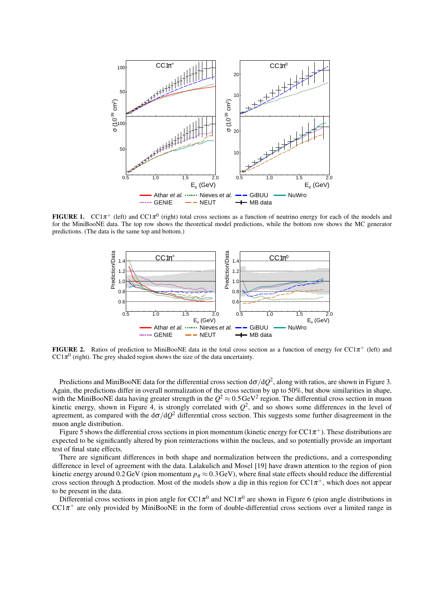

**FIGURE 1.** CC1 $\pi$ <sup>+</sup> (left) and CC1 $\pi$ <sup>0</sup> (right) total cross sections as a function of neutrino energy for each of the models and for the MiniBooNE data. The top row shows the theoretical model predictions, while the bottom row shows the MC generator predictions. (The data is the same top and bottom.)



FIGURE 2. Ratios of prediction to MiniBooNE data in the total cross section as a function of energy for CC1 $\pi^+$  (left) and  $CC1\pi^0$  (right). The grey shaded region shows the size of the data uncertainty.

Predictions and MiniBooNE data for the differential cross section d $\sigma/dQ^2$ , along with ratios, are shown in Figure 3. Again, the predictions differ in overall normalization of the cross section by up to 50%, but show similarities in shape, with the MiniBooNE data having greater strength in the  $Q^2 \approx 0.5$  GeV<sup>2</sup> region. The differential cross section in muon kinetic energy, shown in Figure 4, is strongly correlated with  $Q^2$ , and so shows some differences in the level of agreement, as compared with the  $d\sigma/dQ^2$  differential cross section. This suggests some further disagreement in the muon angle distribution.

Figure 5 shows the differential cross sections in pion momentum (kinetic energy for CC1 $\pi^+$ ). These distributions are expected to be significantly altered by pion reinteractions within the nucleus, and so potentially provide an important test of final state effects.

There are significant differences in both shape and normalization between the predictions, and a corresponding difference in level of agreement with the data. Lalakulich and Mosel [19] have drawn attention to the region of pion kinetic energy around 0.2 GeV (pion momentum  $p_\pi \approx 0.3$  GeV), where final state effects should reduce the differential cross section through  $\Delta$  production. Most of the models show a dip in this region for CC1 $\pi^+$ , which does not appear to be present in the data.

Differential cross sections in pion angle for CC1 $\pi^0$  and NC1 $\pi^0$  are shown in Figure 6 (pion angle distributions in  $CC1\pi^+$  are only provided by MiniBooNE in the form of double-differential cross sections over a limited range in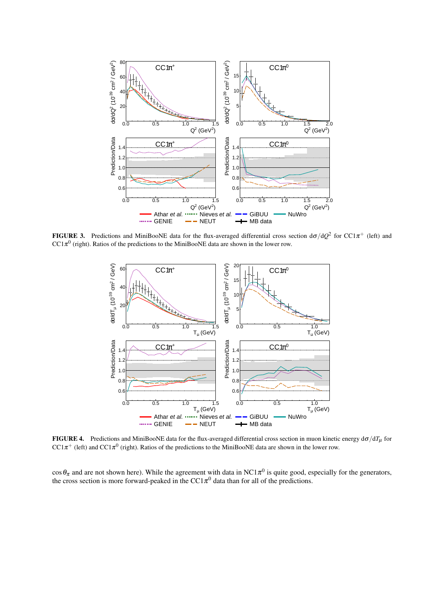

FIGURE 3. Predictions and MiniBooNE data for the flux-averaged differential cross section  $d\sigma/dQ^2$  for CC1 $\pi^+$  (left) and  $CC1\pi^{0}$  (right). Ratios of the predictions to the MiniBooNE data are shown in the lower row.



FIGURE 4. Predictions and MiniBooNE data for the flux-averaged differential cross section in muon kinetic energy  $d\sigma/dT_\mu$  for CC1 $\pi^+$  (left) and CC1 $\pi^0$  (right). Ratios of the predictions to the MiniBooNE data are shown in the lower row.

 $\cos\theta_\pi$  and are not shown here). While the agreement with data in NC1 $\pi^0$  is quite good, especially for the generators, the cross section is more forward-peaked in the  $CC1\pi^0$  data than for all of the predictions.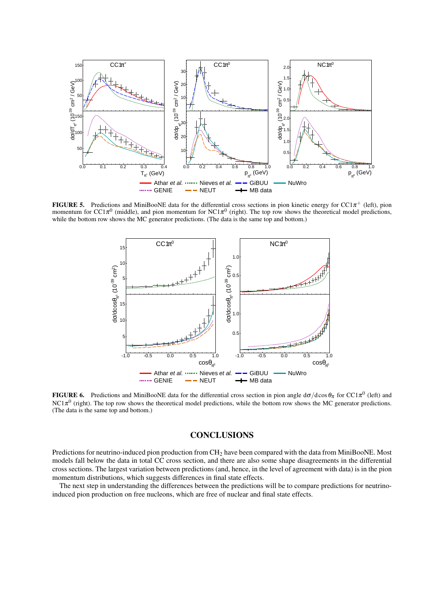

FIGURE 5. Predictions and MiniBooNE data for the differential cross sections in pion kinetic energy for CC1 $\pi^+$  (left), pion momentum for CC1 $\pi^0$  (middle), and pion momentum for NC1 $\pi^0$  (right). The top row shows the theoretical model predictions, while the bottom row shows the MC generator predictions. (The data is the same top and bottom.)



**FIGURE 6.** Predictions and MiniBooNE data for the differential cross section in pion angle  $d\sigma/d\cos\theta_\pi$  for CC1 $\pi^0$  (left) and  $NC1\pi^0$  (right). The top row shows the theoretical model predictions, while the bottom row shows the MC generator predictions. (The data is the same top and bottom.)

## **CONCLUSIONS**

Predictions for neutrino-induced pion production from CH<sub>2</sub> have been compared with the data from MiniBooNE. Most models fall below the data in total CC cross section, and there are also some shape disagreements in the differential cross sections. The largest variation between predictions (and, hence, in the level of agreement with data) is in the pion momentum distributions, which suggests differences in final state effects.

The next step in understanding the differences between the predictions will be to compare predictions for neutrinoinduced pion production on free nucleons, which are free of nuclear and final state effects.